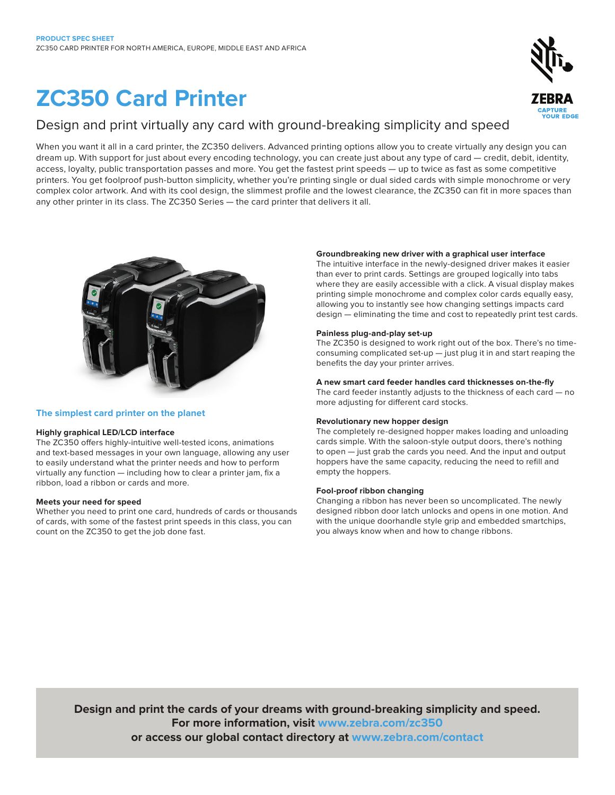# **ZC350 Card Printer**

## Design and print virtually any card with ground-breaking simplicity and speed

When you want it all in a card printer, the ZC350 delivers. Advanced printing options allow you to create virtually any design you can dream up. With support for just about every encoding technology, you can create just about any type of card — credit, debit, identity, access, loyalty, public transportation passes and more. You get the fastest print speeds — up to twice as fast as some competitive printers. You get foolproof push-button simplicity, whether you're printing single or dual sided cards with simple monochrome or very complex color artwork. And with its cool design, the slimmest profile and the lowest clearance, the ZC350 can fit in more spaces than any other printer in its class. The ZC350 Series — the card printer that delivers it all.



#### **The simplest card printer on the planet**

#### **Highly graphical LED/LCD interface**

The ZC350 offers highly-intuitive well-tested icons, animations and text-based messages in your own language, allowing any user to easily understand what the printer needs and how to perform virtually any function — including how to clear a printer jam, fix a ribbon, load a ribbon or cards and more.

#### **Meets your need for speed**

Whether you need to print one card, hundreds of cards or thousands of cards, with some of the fastest print speeds in this class, you can count on the ZC350 to get the job done fast.

#### **Groundbreaking new driver with a graphical user interface**

The intuitive interface in the newly-designed driver makes it easier than ever to print cards. Settings are grouped logically into tabs where they are easily accessible with a click. A visual display makes printing simple monochrome and complex color cards equally easy, allowing you to instantly see how changing settings impacts card design — eliminating the time and cost to repeatedly print test cards.

#### **Painless plug-and-play set-up**

The ZC350 is designed to work right out of the box. There's no timeconsuming complicated set-up — just plug it in and start reaping the benefits the day your printer arrives.

#### **A new smart card feeder handles card thicknesses on-the-fly**

The card feeder instantly adjusts to the thickness of each card — no more adjusting for different card stocks.

#### **Revolutionary new hopper design**

The completely re-designed hopper makes loading and unloading cards simple. With the saloon-style output doors, there's nothing to open — just grab the cards you need. And the input and output hoppers have the same capacity, reducing the need to refill and empty the hoppers.

#### **Fool-proof ribbon changing**

Changing a ribbon has never been so uncomplicated. The newly designed ribbon door latch unlocks and opens in one motion. And with the unique doorhandle style grip and embedded smartchips, you always know when and how to change ribbons.

**Design and print the cards of your dreams with ground-breaking simplicity and speed. For more information, visit www.zebra.com/zc350 or access our global contact directory at www.zebra.com/contact**



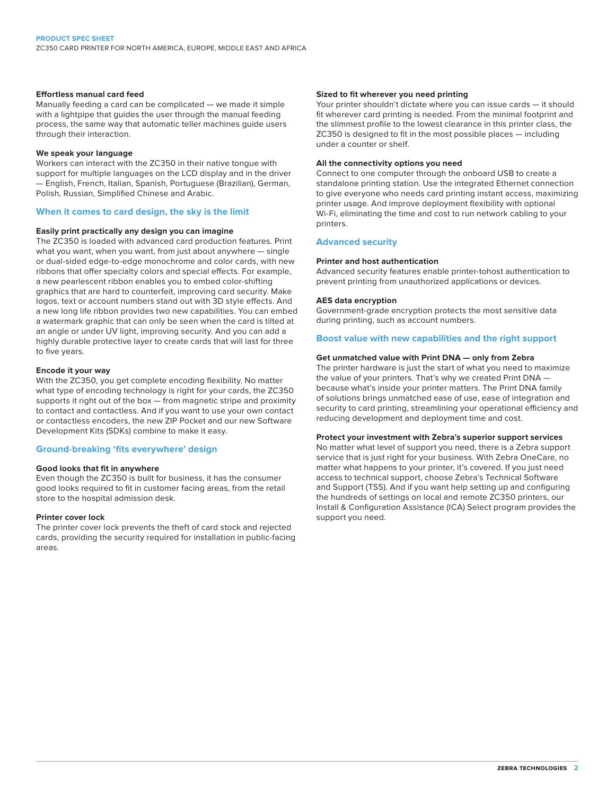#### **Effortless manual card feed**

Manually feeding a card can be complicated — we made it simple with a lightpipe that guides the user through the manual feeding process, the same way that automatic teller machines guide users through their interaction.

#### **We speak your language**

Workers can interact with the ZC350 in their native tongue with support for multiple languages on the LCD display and in the driver — English, French, Italian, Spanish, Portuguese (Brazilian), German, Polish, Russian, Simplified Chinese and Arabic.

#### **When it comes to card design, the sky is the limit**

#### **Easily print practically any design you can imagine**

The ZC350 is loaded with advanced card production features. Print what you want, when you want, from just about anywhere — single or dual-sided edge-to-edge monochrome and color cards, with new ribbons that offer specialty colors and special effects. For example, a new pearlescent ribbon enables you to embed color-shifting graphics that are hard to counterfeit, improving card security. Make logos, text or account numbers stand out with 3D style effects. And a new long life ribbon provides two new capabilities. You can embed a watermark graphic that can only be seen when the card is tilted at an angle or under UV light, improving security. And you can add a highly durable protective layer to create cards that will last for three to five years.

#### **Encode it your way**

With the ZC350, you get complete encoding flexibility. No matter what type of encoding technology is right for your cards, the ZC350 supports it right out of the box – from magnetic stripe and proximity to contact and contactless. And if you want to use your own contact or contactless encoders, the new ZIP Pocket and our new Software Development Kits (SDKs) combine to make it easy.

#### **Ground-breaking 'fits everywhere' design**

#### **Good looks that fit in anywhere**

Even though the ZC350 is built for business, it has the consumer good looks required to fit in customer facing areas, from the retail store to the hospital admission desk.

#### **Printer cover lock**

The printer cover lock prevents the theft of card stock and rejected cards, providing the security required for installation in public-facing areas.

#### **Sized to fit wherever you need printing**

Your printer shouldn't dictate where you can issue cards — it should fit wherever card printing is needed. From the minimal footprint and the slimmest profile to the lowest clearance in this printer class, the ZC350 is designed to fit in the most possible places — including under a counter or shelf.

#### **All the connectivity options you need**

Connect to one computer through the onboard USB to create a standalone printing station. Use the integrated Ethernet connection to give everyone who needs card printing instant access, maximizing printer usage. And improve deployment flexibility with optional Wi-Fi, eliminating the time and cost to run network cabling to your printers.

#### **Advanced security**

#### **Printer and host authentication**

Advanced security features enable printer-tohost authentication to prevent printing from unauthorized applications or devices.

#### **AES data encryption**

Government-grade encryption protects the most sensitive data during printing, such as account numbers.

#### **Boost value with new capabilities and the right support**

#### **Get unmatched value with Print DNA — only from Zebra**

The printer hardware is just the start of what you need to maximize the value of your printers. That's why we created Print DNA because what's inside your printer matters. The Print DNA family of solutions brings unmatched ease of use, ease of integration and security to card printing, streamlining your operational efficiency and reducing development and deployment time and cost.

#### **Protect your investment with Zebra's superior support services**

No matter what level of support you need, there is a Zebra support service that is just right for your business. With Zebra OneCare, no matter what happens to your printer, it's covered. If you just need access to technical support, choose Zebra's Technical Software and Support (TSS). And if you want help setting up and configuring the hundreds of settings on local and remote ZC350 printers, our Install & Configuration Assistance (ICA) Select program provides the support you need.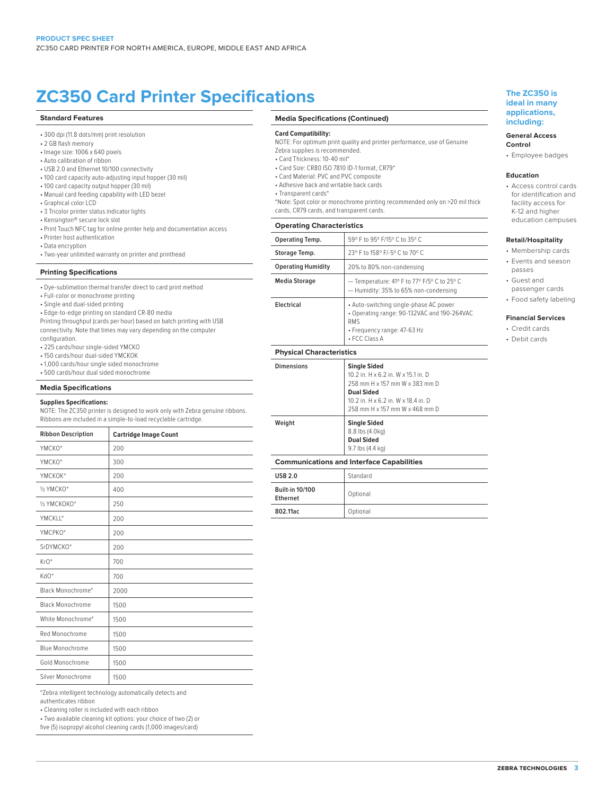## **ZC350 Card Printer Specifications The ZC350 is**

#### **Standard Features**

- 300 dpi (11.8 dots/mm) print resolution
- 2 GB flash memory
- Image size: 1006 x 640 pixels
- Auto calibration of ribbon
- USB 2.0 and Ethernet 10/100 connectivity
- 100 card capacity auto-adjusting input hopper (30 mil)
- 100 card capacity output hopper (30 mil)
- Manual card feeding capability with LED bezel
- Graphical color LCD
- 3 Tricolor printer status indicator lights
- Kensington® secure lock slot
- Print Touch NFC tag for online printer help and documentation access
- Printer host authentication
- Data encryption
- Two-year unlimited warranty on printer and printhead

#### **Printing Specifications**

- Dye-sublimation thermal transfer direct to card print method
- Full-color or monochrome printing
- Single and dual-sided printing
- Edge-to-edge printing on standard CR-80 media

Printing throughput (cards per hour) based on batch printing with USB connectivity. Note that times may vary depending on the computer

- configuration.
- 225 cards/hour single-sided YMCKO
- 150 cards/hour dual-sided YMCKOK
- 1,000 cards/hour single sided monochrome
- 500 cards/hour dual sided monochrome

#### **Media Specifications**

#### **Supplies Specifications:**

NOTE: The ZC350 printer is designed to work only with Zebra genuine ribbons. Ribbons are included in a simple-to-load recyclable cartridge.

| <b>Ribbon Description</b> | <b>Cartridge Image Count</b> |
|---------------------------|------------------------------|
| YMCKO*                    | 200                          |
| YMCKO*                    | 300                          |
| YMCKOK*                   | 200                          |
| 1/2 YMCKO*                | 400                          |
| 1/2 УМСКОКО*              | 250                          |
| YMCKII*                   | 200                          |
| YMCPKO*                   | 200                          |
| SrDYMCKO*                 | 200                          |
| $KrO*$                    | 700                          |
| KdO*                      | 700                          |
| Black Monochrome*         | 2000                         |
| <b>Black Monochrome</b>   | 1500                         |
| White Monochrome*         | 1500                         |
| Red Monochrome            | 1500                         |
| <b>Blue Monochrome</b>    | 1500                         |
| Gold Monochrome           | 1500                         |
| Silver Monochrome         | 1500                         |

\*Zebra intelligent technology automatically detects and authenticates ribbon

• Cleaning roller is included with each ribbon

• Two available cleaning kit options: your choice of two (2) or

five (5) isopropyl alcohol cleaning cards (1,000 images/card)

#### **Media Specifications (Continued)**

#### **Card Compatibility:**

- NOTE: For optimum print quality and printer performance, use of Genuine Zebra supplies is recommended.
- Card Thickness: 10-40 mil\*
- Card Size: CR80 ISO 7810 ID-1 format, CR79\*
- Card Material: PVC and PVC composite
- Adhesive back and writable back cards
- Transparent cards\*
- \*Note: Spot color or monochrome printing recommended only on >20 mil thick
- cards, CR79 cards, and transparent cards.

#### **Operating Characteristics**

| <b>Dimensions</b>               | Single Sided                                                                                                                                        |  |
|---------------------------------|-----------------------------------------------------------------------------------------------------------------------------------------------------|--|
| <b>Physical Characteristics</b> |                                                                                                                                                     |  |
| Electrical                      | • Auto-switching single-phase AC power<br>• Operating range: 90-132VAC and 190-264VAC<br><b>RMS</b><br>• Frequency range: 47-63 Hz<br>• FCC Class A |  |
| <b>Media Storage</b>            | - Temperature: 41° F to 77° F/5° C to 25° C<br>- Humidity: 35% to 65% non-condensing                                                                |  |
| <b>Operating Humidity</b>       | 20% to 80% non-condensing                                                                                                                           |  |
| Storage Temp.                   | 23° F to 158° F/-5° C to 70° C                                                                                                                      |  |
| Operating Temp.                 | 59° F to 95° F/15° C to 35° C                                                                                                                       |  |
|                                 |                                                                                                                                                     |  |

| <b>Single Sided</b><br>10.2 in. H x 6.2 in. W x 15.1 in. D<br>258 mm H x 157 mm W x 383 mm D<br><b>Dual Sided</b><br>10.2 in. H x 6.2 in. W x 18.4 in. D<br>258 mm H x 157 mm W x 468 mm D |
|--------------------------------------------------------------------------------------------------------------------------------------------------------------------------------------------|
|                                                                                                                                                                                            |
|                                                                                                                                                                                            |

#### **Weight Single Sided** 8.8 lbs (4.0kg) **Dual Sided** 9.7 lbs (4.4 kg)

#### **Communications and Interface Capabilities**

| <b>USB 2.0</b>                     | Standard |
|------------------------------------|----------|
| <b>Built-in 10/100</b><br>Ethernet | Optional |
| 802.11ac                           | Optional |

#### **ideal in many applications, including:**

#### **General Access Control**

• Employee badges

#### **Education**

• Access control cards for identification and facility access for K-12 and higher education campuses

#### **Retail/Hospitality**

- Membership cards
- Events and season
- passes
- Guest and passenger cards
- Food safety labeling
- **Financial Services**
- Credit cards • Debit cards